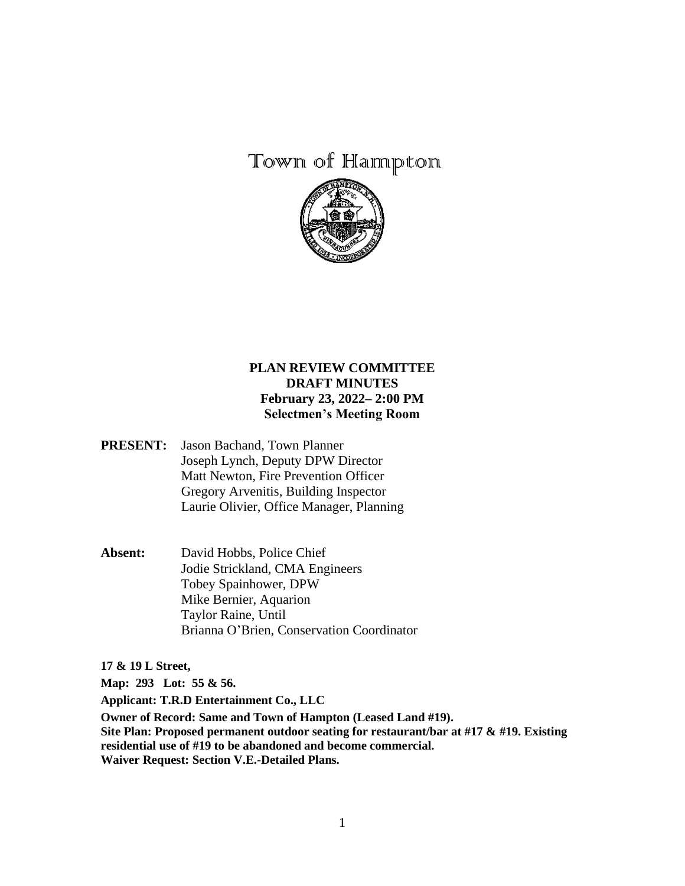## Town of Hannpton



## **PLAN REVIEW COMMITTEE DRAFT MINUTES February 23, 2022– 2:00 PM Selectmen's Meeting Room**

- **PRESENT:** Jason Bachand, Town Planner Joseph Lynch, Deputy DPW Director Matt Newton, Fire Prevention Officer Gregory Arvenitis, Building Inspector Laurie Olivier, Office Manager, Planning
- **Absent:** David Hobbs, Police Chief Jodie Strickland, CMA Engineers Tobey Spainhower, DPW Mike Bernier, Aquarion Taylor Raine, Until Brianna O'Brien, Conservation Coordinator

**17 & 19 L Street,** 

**Map: 293 Lot: 55 & 56.** 

**Applicant: T.R.D Entertainment Co., LLC**

**Owner of Record: Same and Town of Hampton (Leased Land #19). Site Plan: Proposed permanent outdoor seating for restaurant/bar at #17 & #19. Existing residential use of #19 to be abandoned and become commercial. Waiver Request: Section V.E.-Detailed Plans.**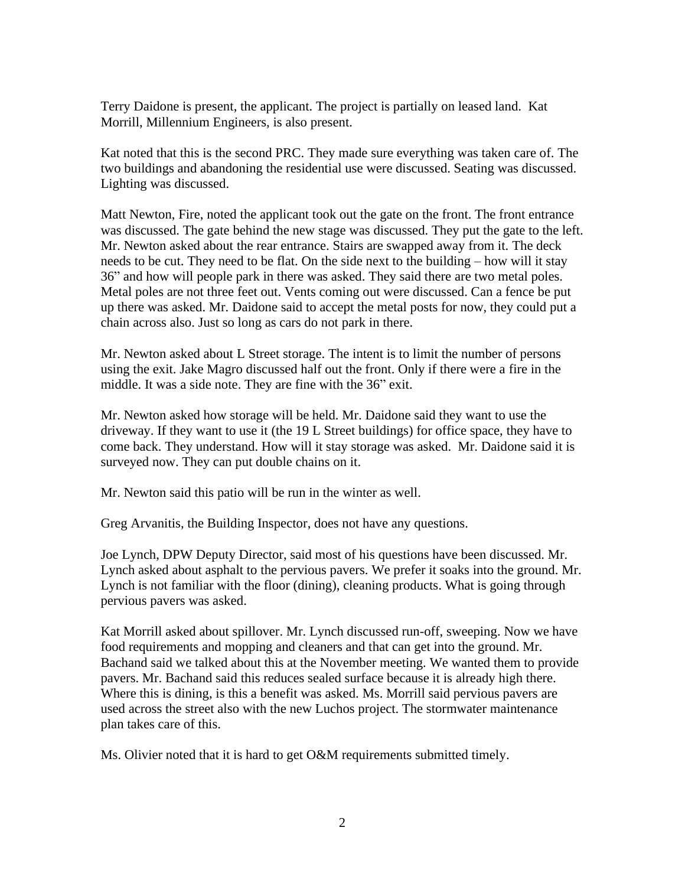Terry Daidone is present, the applicant. The project is partially on leased land. Kat Morrill, Millennium Engineers, is also present.

Kat noted that this is the second PRC. They made sure everything was taken care of. The two buildings and abandoning the residential use were discussed. Seating was discussed. Lighting was discussed.

Matt Newton, Fire, noted the applicant took out the gate on the front. The front entrance was discussed. The gate behind the new stage was discussed. They put the gate to the left. Mr. Newton asked about the rear entrance. Stairs are swapped away from it. The deck needs to be cut. They need to be flat. On the side next to the building – how will it stay 36" and how will people park in there was asked. They said there are two metal poles. Metal poles are not three feet out. Vents coming out were discussed. Can a fence be put up there was asked. Mr. Daidone said to accept the metal posts for now, they could put a chain across also. Just so long as cars do not park in there.

Mr. Newton asked about L Street storage. The intent is to limit the number of persons using the exit. Jake Magro discussed half out the front. Only if there were a fire in the middle. It was a side note. They are fine with the 36" exit.

Mr. Newton asked how storage will be held. Mr. Daidone said they want to use the driveway. If they want to use it (the 19 L Street buildings) for office space, they have to come back. They understand. How will it stay storage was asked. Mr. Daidone said it is surveyed now. They can put double chains on it.

Mr. Newton said this patio will be run in the winter as well.

Greg Arvanitis, the Building Inspector, does not have any questions.

Joe Lynch, DPW Deputy Director, said most of his questions have been discussed. Mr. Lynch asked about asphalt to the pervious pavers. We prefer it soaks into the ground. Mr. Lynch is not familiar with the floor (dining), cleaning products. What is going through pervious pavers was asked.

Kat Morrill asked about spillover. Mr. Lynch discussed run-off, sweeping. Now we have food requirements and mopping and cleaners and that can get into the ground. Mr. Bachand said we talked about this at the November meeting. We wanted them to provide pavers. Mr. Bachand said this reduces sealed surface because it is already high there. Where this is dining, is this a benefit was asked. Ms. Morrill said pervious pavers are used across the street also with the new Luchos project. The stormwater maintenance plan takes care of this.

Ms. Olivier noted that it is hard to get O&M requirements submitted timely.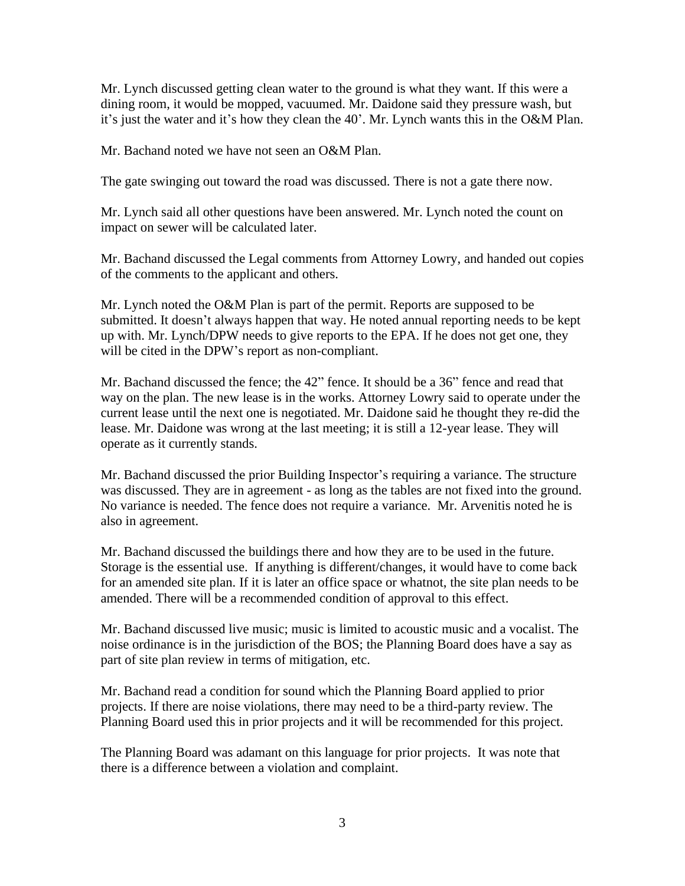Mr. Lynch discussed getting clean water to the ground is what they want. If this were a dining room, it would be mopped, vacuumed. Mr. Daidone said they pressure wash, but it's just the water and it's how they clean the 40'. Mr. Lynch wants this in the O&M Plan.

Mr. Bachand noted we have not seen an O&M Plan.

The gate swinging out toward the road was discussed. There is not a gate there now.

Mr. Lynch said all other questions have been answered. Mr. Lynch noted the count on impact on sewer will be calculated later.

Mr. Bachand discussed the Legal comments from Attorney Lowry, and handed out copies of the comments to the applicant and others.

Mr. Lynch noted the O&M Plan is part of the permit. Reports are supposed to be submitted. It doesn't always happen that way. He noted annual reporting needs to be kept up with. Mr. Lynch/DPW needs to give reports to the EPA. If he does not get one, they will be cited in the DPW's report as non-compliant.

Mr. Bachand discussed the fence; the 42" fence. It should be a 36" fence and read that way on the plan. The new lease is in the works. Attorney Lowry said to operate under the current lease until the next one is negotiated. Mr. Daidone said he thought they re-did the lease. Mr. Daidone was wrong at the last meeting; it is still a 12-year lease. They will operate as it currently stands.

Mr. Bachand discussed the prior Building Inspector's requiring a variance. The structure was discussed. They are in agreement - as long as the tables are not fixed into the ground. No variance is needed. The fence does not require a variance. Mr. Arvenitis noted he is also in agreement.

Mr. Bachand discussed the buildings there and how they are to be used in the future. Storage is the essential use. If anything is different/changes, it would have to come back for an amended site plan. If it is later an office space or whatnot, the site plan needs to be amended. There will be a recommended condition of approval to this effect.

Mr. Bachand discussed live music; music is limited to acoustic music and a vocalist. The noise ordinance is in the jurisdiction of the BOS; the Planning Board does have a say as part of site plan review in terms of mitigation, etc.

Mr. Bachand read a condition for sound which the Planning Board applied to prior projects. If there are noise violations, there may need to be a third-party review. The Planning Board used this in prior projects and it will be recommended for this project.

The Planning Board was adamant on this language for prior projects. It was note that there is a difference between a violation and complaint.